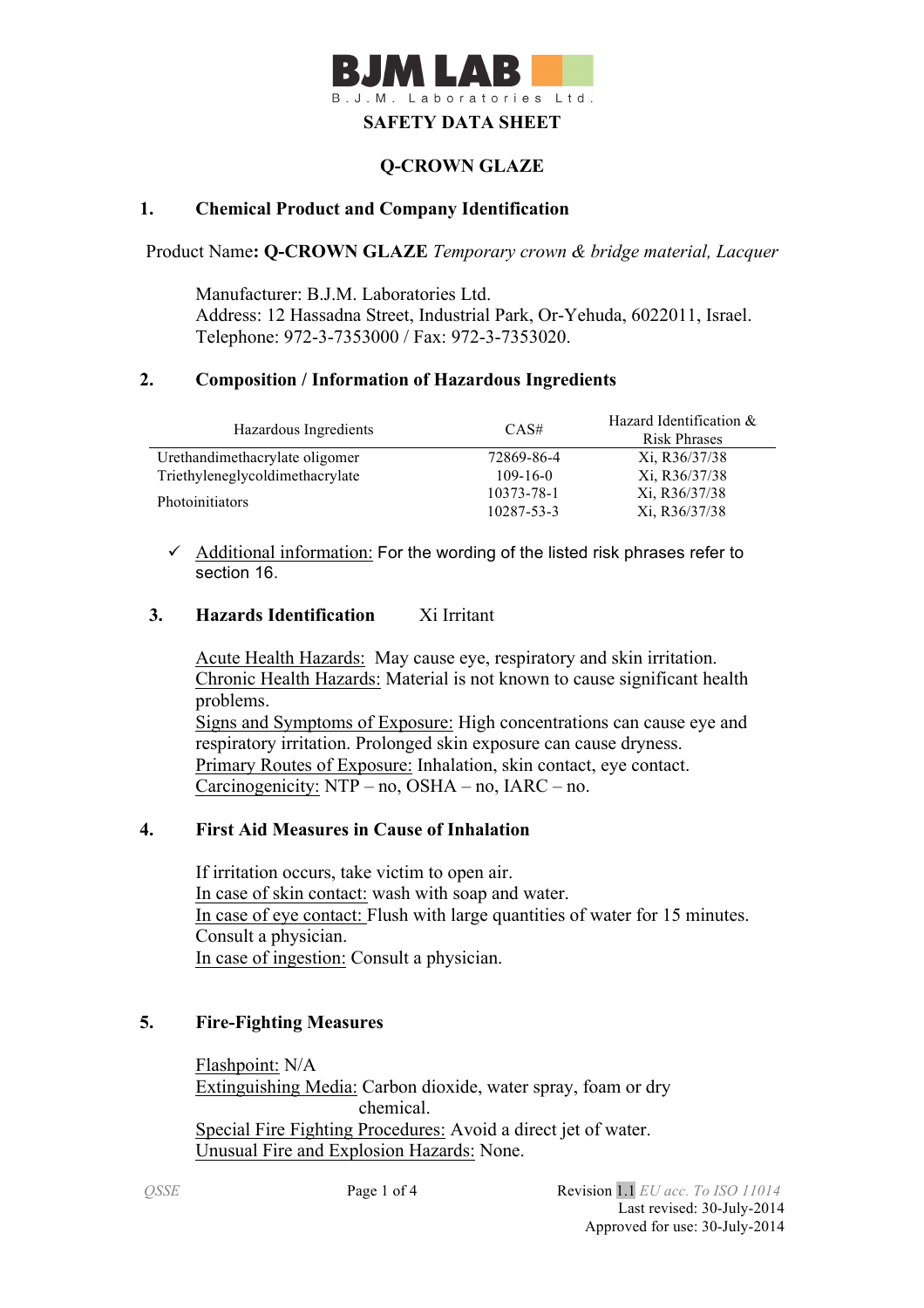

## **Q-CROWN GLAZE**

#### **1. Chemical Product and Company Identification**

Product Name**: Q-CROWN GLAZE** *Temporary crown & bridge material, Lacquer*

Manufacturer: B.J.M. Laboratories Ltd. Address: 12 Hassadna Street, Industrial Park, Or-Yehuda, 6022011, Israel. Telephone: 972-3-7353000 / Fax: 972-3-7353020.

#### **2. Composition / Information of Hazardous Ingredients**

| Hazardous Ingredients           | CAS#           | Hazard Identification &<br><b>Risk Phrases</b> |
|---------------------------------|----------------|------------------------------------------------|
| Urethandimethacrylate oligomer  | 72869-86-4     | Xi, R36/37/38                                  |
| Triethyleneglycoldimethacrylate | $109 - 16 - 0$ | Xi, R36/37/38                                  |
| <b>Photoinitiators</b>          | 10373-78-1     | Xi, R36/37/38                                  |
|                                 | 10287-53-3     | Xi, R36/37/38                                  |

 $\checkmark$  Additional information: For the wording of the listed risk phrases refer to section 16.

#### **3. Hazards Identification** Xi Irritant

Acute Health Hazards: May cause eye, respiratory and skin irritation. Chronic Health Hazards: Material is not known to cause significant health problems. Signs and Symptoms of Exposure: High concentrations can cause eye and respiratory irritation. Prolonged skin exposure can cause dryness. Primary Routes of Exposure: Inhalation, skin contact, eye contact. Carcinogenicity: NTP – no, OSHA – no, IARC – no.

## **4. First Aid Measures in Cause of Inhalation**

 If irritation occurs, take victim to open air. In case of skin contact: wash with soap and water. In case of eye contact: Flush with large quantities of water for 15 minutes. Consult a physician. In case of ingestion: Consult a physician.

#### **5. Fire-Fighting Measures**

Flashpoint: N/A Extinguishing Media: Carbon dioxide, water spray, foam or dry chemical. Special Fire Fighting Procedures: Avoid a direct jet of water. Unusual Fire and Explosion Hazards: None.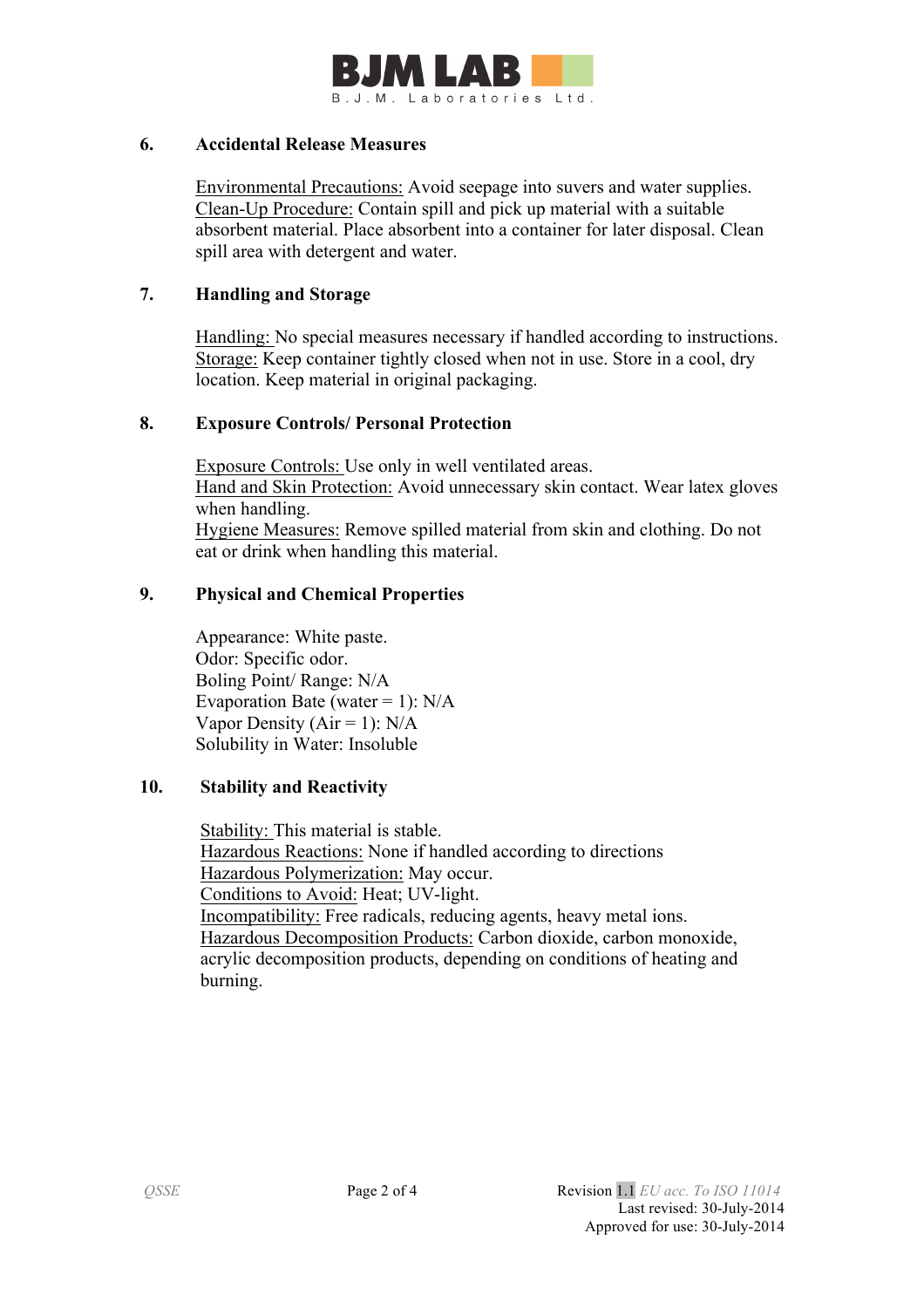

#### **6. Accidental Release Measures**

 Environmental Precautions: Avoid seepage into suvers and water supplies. Clean-Up Procedure: Contain spill and pick up material with a suitable absorbent material. Place absorbent into a container for later disposal. Clean spill area with detergent and water.

#### **7. Handling and Storage**

 Handling: No special measures necessary if handled according to instructions. Storage: Keep container tightly closed when not in use. Store in a cool, dry location. Keep material in original packaging.

## **8. Exposure Controls/ Personal Protection**

 Exposure Controls: Use only in well ventilated areas. Hand and Skin Protection: Avoid unnecessary skin contact. Wear latex gloves when handling. Hygiene Measures: Remove spilled material from skin and clothing. Do not eat or drink when handling this material.

## **9. Physical and Chemical Properties**

Appearance: White paste. Odor: Specific odor. Boling Point/ Range: N/A Evaporation Bate (water  $= 1$ ): N/A Vapor Density ( $Air = 1$ ):  $N/A$ Solubility in Water: Insoluble

#### **10. Stability and Reactivity**

 Stability: This material is stable. Hazardous Reactions: None if handled according to directions Hazardous Polymerization: May occur. Conditions to Avoid: Heat; UV-light. Incompatibility: Free radicals, reducing agents, heavy metal ions. Hazardous Decomposition Products: Carbon dioxide, carbon monoxide, acrylic decomposition products, depending on conditions of heating and burning.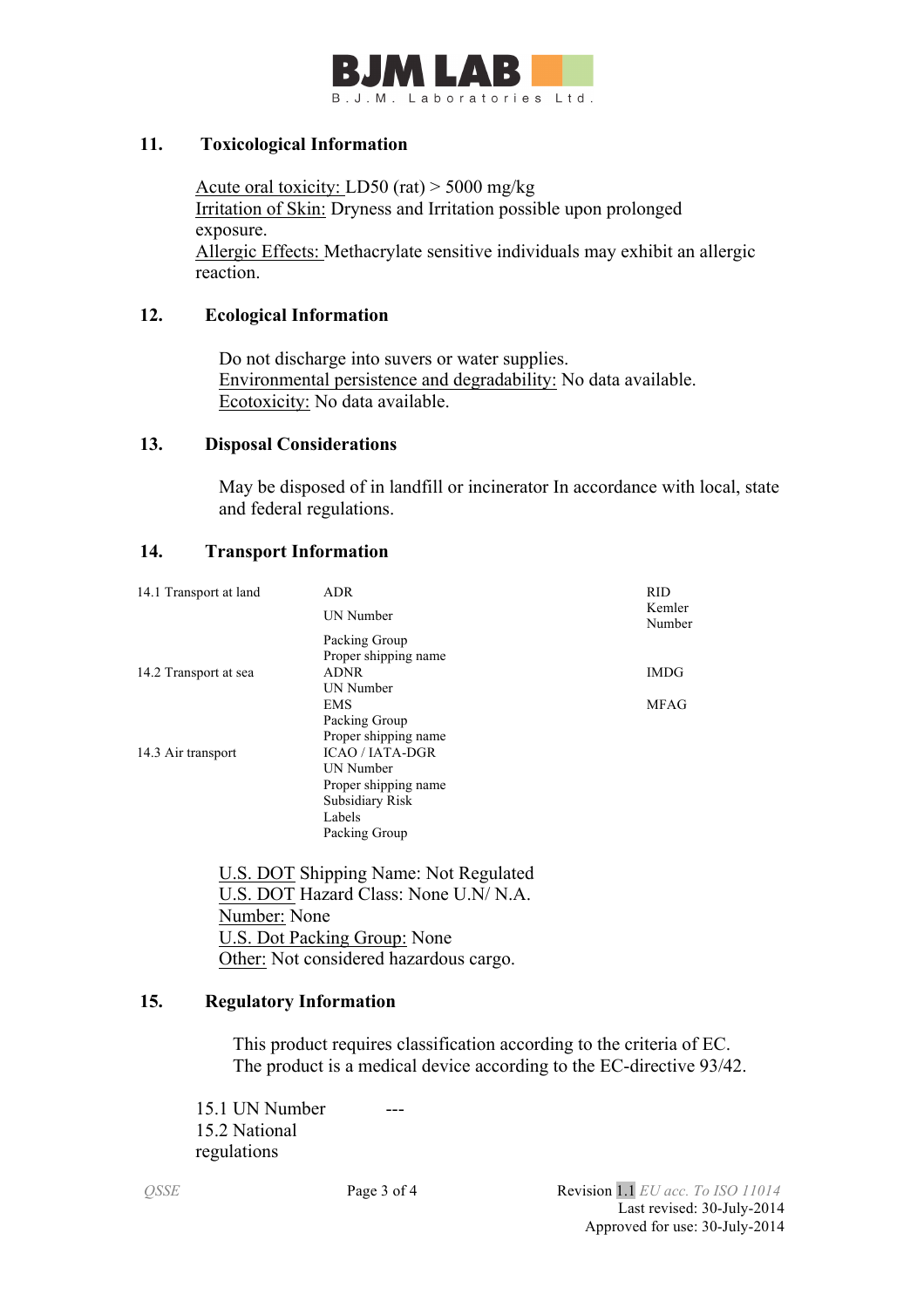

#### **11. Toxicological Information**

Acute oral toxicity: LD50 (rat) > 5000 mg/kg Irritation of Skin: Dryness and Irritation possible upon prolonged exposure. Allergic Effects: Methacrylate sensitive individuals may exhibit an allergic reaction.

## **12. Ecological Information**

 Do not discharge into suvers or water supplies. Environmental persistence and degradability: No data available. Ecotoxicity: No data available.

#### **13. Disposal Considerations**

 May be disposed of in landfill or incinerator In accordance with local, state and federal regulations.

## **14. Transport Information**

| 14.1 Transport at land | <b>ADR</b>             | <b>RID</b>       |
|------------------------|------------------------|------------------|
|                        | UN Number              | Kemler<br>Number |
|                        | Packing Group          |                  |
|                        | Proper shipping name   |                  |
| 14.2 Transport at sea  | <b>ADNR</b>            | <b>IMDG</b>      |
|                        | UN Number              |                  |
|                        | <b>EMS</b>             | <b>MFAG</b>      |
|                        | Packing Group          |                  |
|                        | Proper shipping name   |                  |
| 14.3 Air transport     | <b>ICAO / IATA-DGR</b> |                  |
|                        | UN Number              |                  |
|                        | Proper shipping name   |                  |
|                        | Subsidiary Risk        |                  |
|                        | Labels                 |                  |
|                        | Packing Group          |                  |

 U.S. DOT Shipping Name: Not Regulated U.S. DOT Hazard Class: None U.N/ N.A. Number: None U.S. Dot Packing Group: None Other: Not considered hazardous cargo.

## **15. Regulatory Information**

This product requires classification according to the criteria of EC. The product is a medical device according to the EC-directive 93/42.

15.1 UN Number 15.2 National regulations